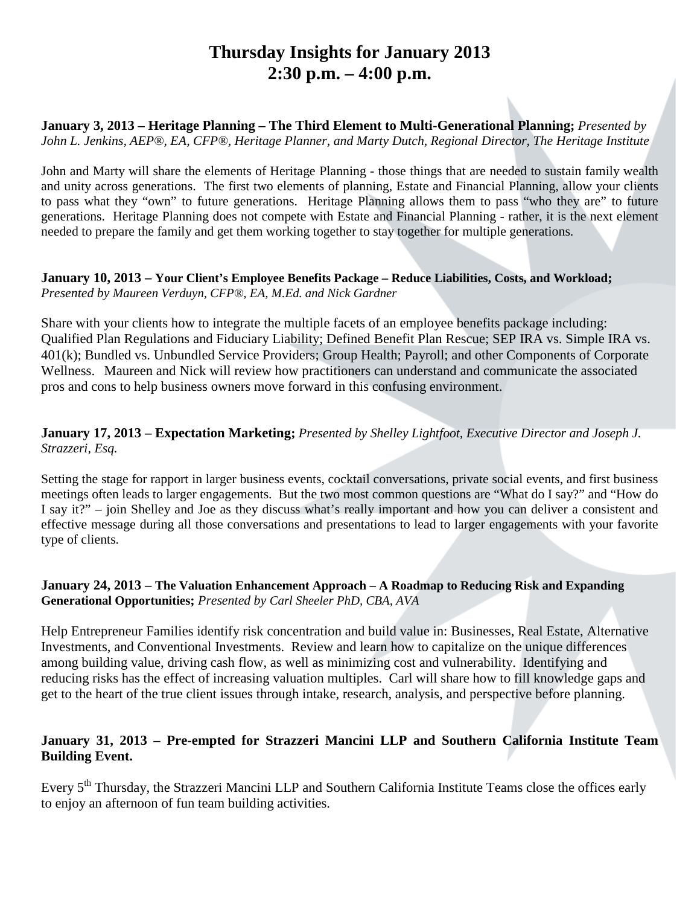## **Thursday Insights for January 2013 2:30 p.m. – 4:00 p.m.**

**January 3, 2013 – Heritage Planning – The Third Element to Multi-Generational Planning;** *Presented by John L. Jenkins, AEP®, EA, CFP®, Heritage Planner, and Marty Dutch, Regional Director, The Heritage Institute*

John and Marty will share the elements of Heritage Planning - those things that are needed to sustain family wealth and unity across generations. The first two elements of planning, Estate and Financial Planning, allow your clients to pass what they "own" to future generations. Heritage Planning allows them to pass "who they are" to future generations. Heritage Planning does not compete with Estate and Financial Planning - rather, it is the next element needed to prepare the family and get them working together to stay together for multiple generations.

### **January 10, 2013 – Your Client's Employee Benefits Package – Reduce Liabilities, Costs, and Workload;**  *Presented by Maureen Verduyn, CFP®, EA, M.Ed. and Nick Gardner*

Share with your clients how to integrate the multiple facets of an employee benefits package including: Qualified Plan Regulations and Fiduciary Liability; Defined Benefit Plan Rescue; SEP IRA vs. Simple IRA vs. 401(k); Bundled vs. Unbundled Service Providers; Group Health; Payroll; and other Components of Corporate Wellness. Maureen and Nick will review how practitioners can understand and communicate the associated pros and cons to help business owners move forward in this confusing environment.

## **January 17, 2013 – Expectation Marketing;** *Presented by Shelley Lightfoot, Executive Director and Joseph J. Strazzeri, Esq.*

Setting the stage for rapport in larger business events, cocktail conversations, private social events, and first business meetings often leads to larger engagements. But the two most common questions are "What do I say?" and "How do I say it?" – join Shelley and Joe as they discuss what's really important and how you can deliver a consistent and effective message during all those conversations and presentations to lead to larger engagements with your favorite type of clients.

### **January 24, 2013 – The Valuation Enhancement Approach – A Roadmap to Reducing Risk and Expanding Generational Opportunities;** *Presented by Carl Sheeler PhD, CBA, AVA*

Help Entrepreneur Families identify risk concentration and build value in: Businesses, Real Estate, Alternative Investments, and Conventional Investments. Review and learn how to capitalize on the unique differences among building value, driving cash flow, as well as minimizing cost and vulnerability. Identifying and reducing risks has the effect of increasing valuation multiples. Carl will share how to fill knowledge gaps and get to the heart of the true client issues through intake, research, analysis, and perspective before planning.

## **January 31, 2013 – Pre-empted for Strazzeri Mancini LLP and Southern California Institute Team Building Event.**

Every 5<sup>th</sup> Thursday, the Strazzeri Mancini LLP and Southern California Institute Teams close the offices early to enjoy an afternoon of fun team building activities.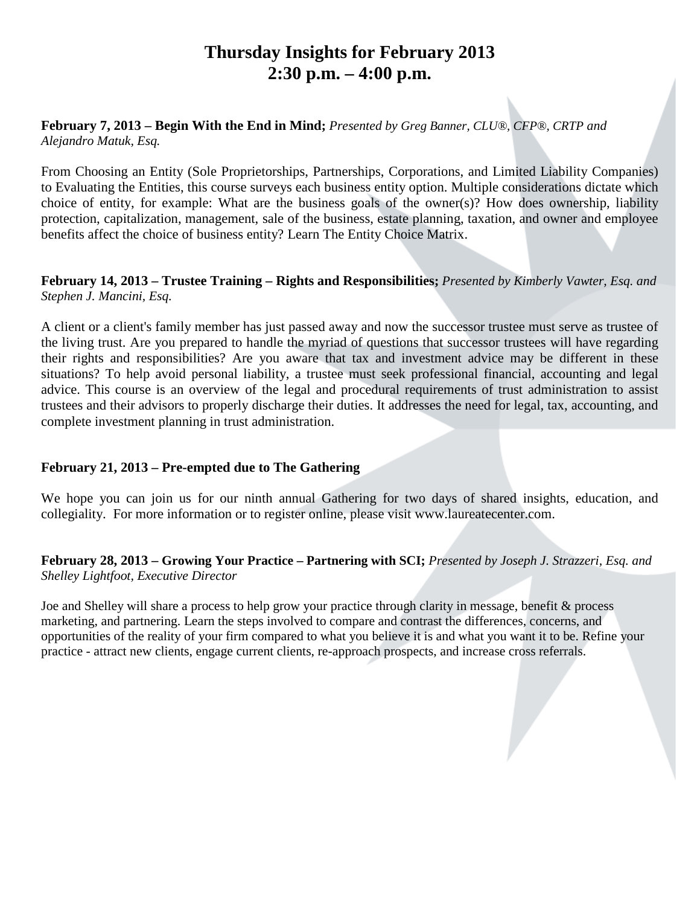## **Thursday Insights for February 2013 2:30 p.m. – 4:00 p.m.**

### **February 7, 2013 – Begin With the End in Mind;** *Presented by Greg Banner, CLU®, CFP®, CRTP and Alejandro Matuk, Esq.*

From Choosing an Entity (Sole Proprietorships, Partnerships, Corporations, and Limited Liability Companies) to Evaluating the Entities, this course surveys each business entity option. Multiple considerations dictate which choice of entity, for example: What are the business goals of the owner(s)? How does ownership, liability protection, capitalization, management, sale of the business, estate planning, taxation, and owner and employee benefits affect the choice of business entity? Learn The Entity Choice Matrix.

### **February 14, 2013 – Trustee Training – Rights and Responsibilities;** *Presented by Kimberly Vawter, Esq. and Stephen J. Mancini, Esq.*

A client or a client's family member has just passed away and now the successor trustee must serve as trustee of the living trust. Are you prepared to handle the myriad of questions that successor trustees will have regarding their rights and responsibilities? Are you aware that tax and investment advice may be different in these situations? To help avoid personal liability, a trustee must seek professional financial, accounting and legal advice. This course is an overview of the legal and procedural requirements of trust administration to assist trustees and their advisors to properly discharge their duties. It addresses the need for legal, tax, accounting, and complete investment planning in trust administration.

## **February 21, 2013 – Pre-empted due to The Gathering**

We hope you can join us for our ninth annual Gathering for two days of shared insights, education, and collegiality. For more information or to register online, please visit www.laureatecenter.com.

## **February 28, 2013 – Growing Your Practice – Partnering with SCI;** *Presented by Joseph J. Strazzeri, Esq. and Shelley Lightfoot, Executive Director*

Joe and Shelley will share a process to help grow your practice through clarity in message, benefit & process marketing, and partnering. Learn the steps involved to compare and contrast the differences, concerns, and opportunities of the reality of your firm compared to what you believe it is and what you want it to be. Refine your practice - attract new clients, engage current clients, re-approach prospects, and increase cross referrals.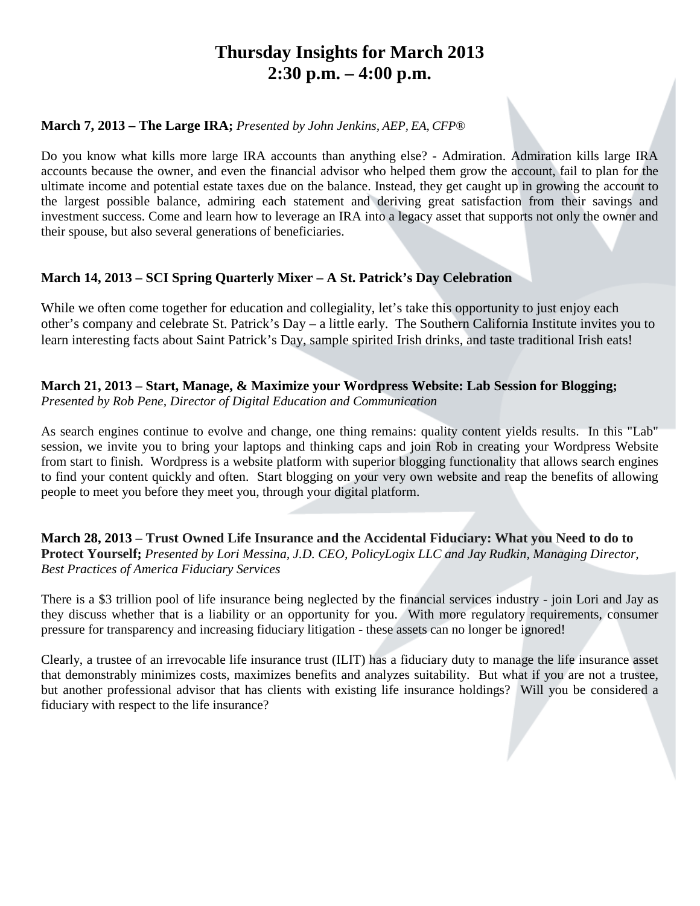## **Thursday Insights for March 2013 2:30 p.m. – 4:00 p.m.**

## **March 7, 2013 – The Large IRA;** *Presented by John Jenkins, AEP, EA, CFP®*

Do you know what kills more large IRA accounts than anything else? - Admiration. Admiration kills large IRA accounts because the owner, and even the financial advisor who helped them grow the account, fail to plan for the ultimate income and potential estate taxes due on the balance. Instead, they get caught up in growing the account to the largest possible balance, admiring each statement and deriving great satisfaction from their savings and investment success. Come and learn how to leverage an IRA into a legacy asset that supports not only the owner and their spouse, but also several generations of beneficiaries.

## **March 14, 2013 – SCI Spring Quarterly Mixer – A St. Patrick's Day Celebration**

While we often come together for education and collegiality, let's take this opportunity to just enjoy each other's company and celebrate St. Patrick's Day – a little early. The Southern California Institute invites you to learn interesting facts about Saint Patrick's Day, sample spirited Irish drinks, and taste traditional Irish eats!

### **March 21, 2013 – Start, Manage, & Maximize your Wordpress Website: Lab Session for Blogging;**  *Presented by Rob Pene, Director of Digital Education and Communication*

As search engines continue to evolve and change, one thing remains: quality content yields results. In this "Lab" session, we invite you to bring your laptops and thinking caps and join Rob in creating your Wordpress Website from start to finish. Wordpress is a website platform with superior blogging functionality that allows search engines to find your content quickly and often. Start blogging on your very own website and reap the benefits of allowing people to meet you before they meet you, through your digital platform.

**March 28, 2013 – Trust Owned Life Insurance and the Accidental Fiduciary: What you Need to do to Protect Yourself;** *Presented by Lori Messina, J.D. CEO, PolicyLogix LLC and Jay Rudkin, Managing Director, Best Practices of America Fiduciary Services*

There is a \$3 trillion pool of life insurance being neglected by the financial services industry - join Lori and Jay as they discuss whether that is a liability or an opportunity for you. With more regulatory requirements, consumer pressure for transparency and increasing fiduciary litigation - these assets can no longer be ignored!

Clearly, a trustee of an irrevocable life insurance trust (ILIT) has a fiduciary duty to manage the life insurance asset that demonstrably minimizes costs, maximizes benefits and analyzes suitability. But what if you are not a trustee, but another professional advisor that has clients with existing life insurance holdings? Will you be considered a fiduciary with respect to the life insurance?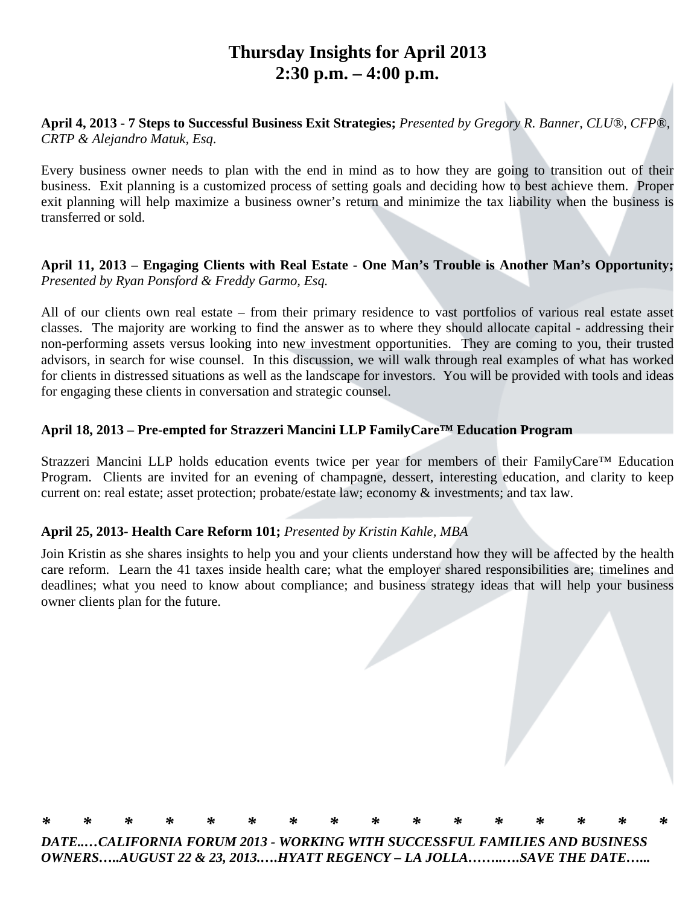## **Thursday Insights for April 2013 2:30 p.m. – 4:00 p.m.**

**April 4, 2013 - 7 Steps to Successful Business Exit Strategies;** *Presented by Gregory R. Banner, CLU®, CFP®, CRTP & Alejandro Matuk, Esq*.

Every business owner needs to plan with the end in mind as to how they are going to transition out of their business. Exit planning is a customized process of setting goals and deciding how to best achieve them. Proper exit planning will help maximize a business owner's return and minimize the tax liability when the business is transferred or sold.

## **April 11, 2013 – Engaging Clients with Real Estate - One Man's Trouble is Another Man's Opportunity;**  *Presented by Ryan Ponsford & Freddy Garmo, Esq.*

All of our clients own real estate – from their primary residence to vast portfolios of various real estate asset classes. The majority are working to find the answer as to where they should allocate capital - addressing their non-performing assets versus looking into new investment opportunities. They are coming to you, their trusted advisors, in search for wise counsel. In this discussion, we will walk through real examples of what has worked for clients in distressed situations as well as the landscape for investors. You will be provided with tools and ideas for engaging these clients in conversation and strategic counsel.

## **April 18, 2013 – Pre-empted for Strazzeri Mancini LLP FamilyCare™ Education Program**

Strazzeri Mancini LLP holds education events twice per year for members of their FamilyCare™ Education Program. Clients are invited for an evening of champagne, dessert, interesting education, and clarity to keep current on: real estate; asset protection; probate/estate law; economy & investments; and tax law.

## **April 25, 2013- Health Care Reform 101;** *Presented by Kristin Kahle, MBA*

Join Kristin as she shares insights to help you and your clients understand how they will be affected by the health care reform. Learn the 41 taxes inside health care; what the employer shared responsibilities are; timelines and deadlines; what you need to know about compliance; and business strategy ideas that will help your business owner clients plan for the future.



*OWNERS…..AUGUST 22 & 23, 2013.….HYATT REGENCY – LA JOLLA……..….SAVE THE DATE…...*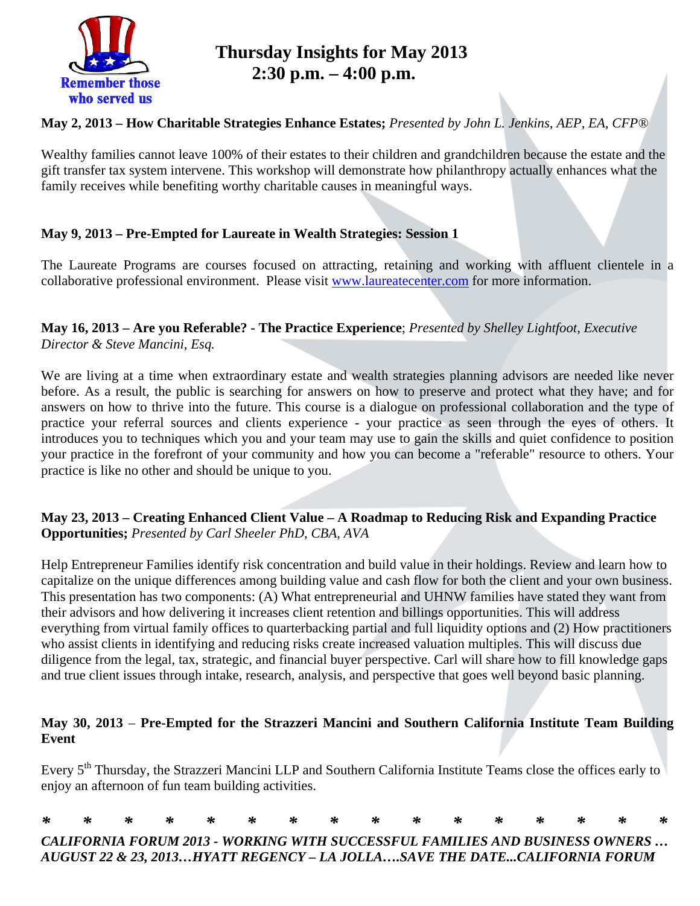

## **Thursday Insights for May 2013 2:30 p.m. – 4:00 p.m.**

## **May 2, 2013 – How Charitable Strategies Enhance Estates;** *Presented by John L. Jenkins, AEP, EA, CFP®*

Wealthy families cannot leave 100% of their estates to their children and grandchildren because the estate and the gift transfer tax system intervene. This workshop will demonstrate how philanthropy actually enhances what the family receives while benefiting worthy charitable causes in meaningful ways.

## **May 9, 2013 – Pre-Empted for Laureate in Wealth Strategies: Session 1**

The Laureate Programs are courses focused on attracting, retaining and working with affluent clientele in a collaborative professional environment. Please visit www.laureatecenter.com for more information.

## **May 16, 2013 – Are you Referable? - The Practice Experience**; *Presented by Shelley Lightfoot, Executive Director & Steve Mancini, Esq.*

We are living at a time when extraordinary estate and wealth strategies planning advisors are needed like never before. As a result, the public is searching for answers on how to preserve and protect what they have; and for answers on how to thrive into the future. This course is a dialogue on professional collaboration and the type of practice your referral sources and clients experience - your practice as seen through the eyes of others. It introduces you to techniques which you and your team may use to gain the skills and quiet confidence to position your practice in the forefront of your community and how you can become a "referable" resource to others. Your practice is like no other and should be unique to you.

## **May 23, 2013 – Creating Enhanced Client Value – A Roadmap to Reducing Risk and Expanding Practice Opportunities;** *Presented by Carl Sheeler PhD, CBA, AVA*

Help Entrepreneur Families identify risk concentration and build value in their holdings. Review and learn how to capitalize on the unique differences among building value and cash flow for both the client and your own business. This presentation has two components: (A) What entrepreneurial and UHNW families have stated they want from their advisors and how delivering it increases client retention and billings opportunities. This will address everything from virtual family offices to quarterbacking partial and full liquidity options and (2) How practitioners who assist clients in identifying and reducing risks create increased valuation multiples. This will discuss due diligence from the legal, tax, strategic, and financial buyer perspective. Carl will share how to fill knowledge gaps and true client issues through intake, research, analysis, and perspective that goes well beyond basic planning.

## **May 30, 2013** – **Pre-Empted for the Strazzeri Mancini and Southern California Institute Team Building Event**

Every 5<sup>th</sup> Thursday, the Strazzeri Mancini LLP and Southern California Institute Teams close the offices early to enjoy an afternoon of fun team building activities.

|  |  |  |  |  |  |  | * * * * * * * * * * * * * * * * |  |
|--|--|--|--|--|--|--|---------------------------------|--|
|  |  |  |  |  |  |  |                                 |  |

*CALIFORNIA FORUM 2013 - WORKING WITH SUCCESSFUL FAMILIES AND BUSINESS OWNERS … AUGUST 22 & 23, 2013…HYATT REGENCY – LA JOLLA….SAVE THE DATE...CALIFORNIA FORUM*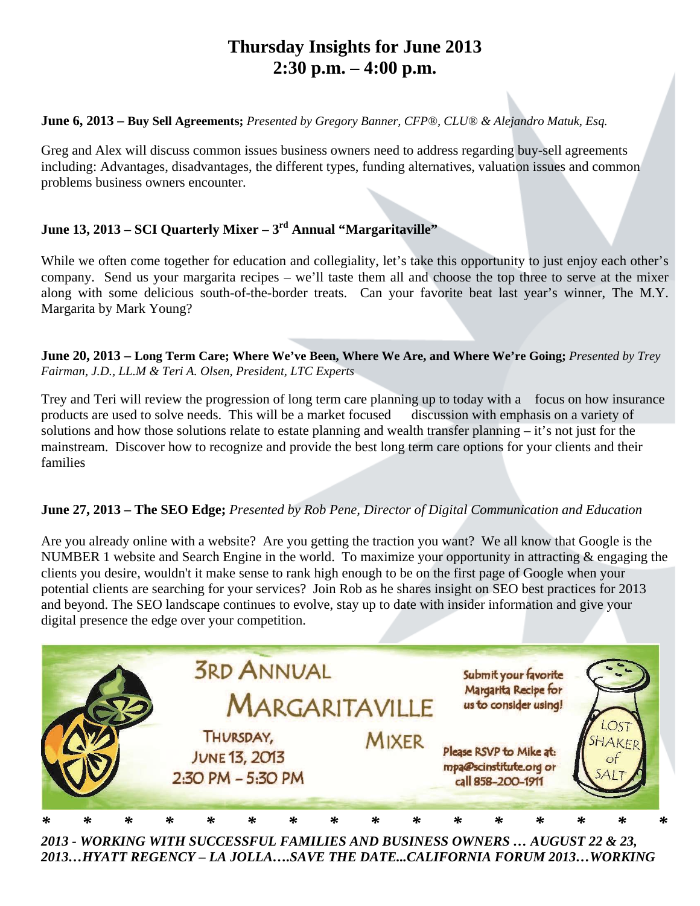## **Thursday Insights for June 2013 2:30 p.m. – 4:00 p.m.**

### **June 6, 2013 – Buy Sell Agreements;** *Presented by Gregory Banner, CFP®, CLU® & Alejandro Matuk, Esq.*

Greg and Alex will discuss common issues business owners need to address regarding buy-sell agreements including: Advantages, disadvantages, the different types, funding alternatives, valuation issues and common problems business owners encounter.

## **June 13, 2013 – SCI Quarterly Mixer – 3rd Annual "Margaritaville"**

While we often come together for education and collegiality, let's take this opportunity to just enjoy each other's company. Send us your margarita recipes – we'll taste them all and choose the top three to serve at the mixer along with some delicious south-of-the-border treats. Can your favorite beat last year's winner, The M.Y. Margarita by Mark Young?

**June 20, 2013 – Long Term Care; Where We've Been, Where We Are, and Where We're Going;** *Presented by Trey Fairman, J.D., LL.M & Teri A. Olsen, President, LTC Experts*

Trey and Teri will review the progression of long term care planning up to today with a focus on how insurance products are used to solve needs. This will be a market focused discussion with emphasis on a variety of solutions and how those solutions relate to estate planning and wealth transfer planning – it's not just for the mainstream. Discover how to recognize and provide the best long term care options for your clients and their families

## **June 27, 2013 – The SEO Edge;** *Presented by Rob Pene, Director of Digital Communication and Education*

Are you already online with a website? Are you getting the traction you want? We all know that Google is the NUMBER 1 website and Search Engine in the world. To maximize your opportunity in attracting & engaging the clients you desire, wouldn't it make sense to rank high enough to be on the first page of Google when your potential clients are searching for your services? Join Rob as he shares insight on SEO best practices for 2013 and beyond. The SEO landscape continues to evolve, stay up to date with insider information and give your digital presence the edge over your competition.



*2013 - WORKING WITH SUCCESSFUL FAMILIES AND BUSINESS OWNERS … AUGUST 22 & 23, 2013…HYATT REGENCY – LA JOLLA….SAVE THE DATE...CALIFORNIA FORUM 2013…WORKING*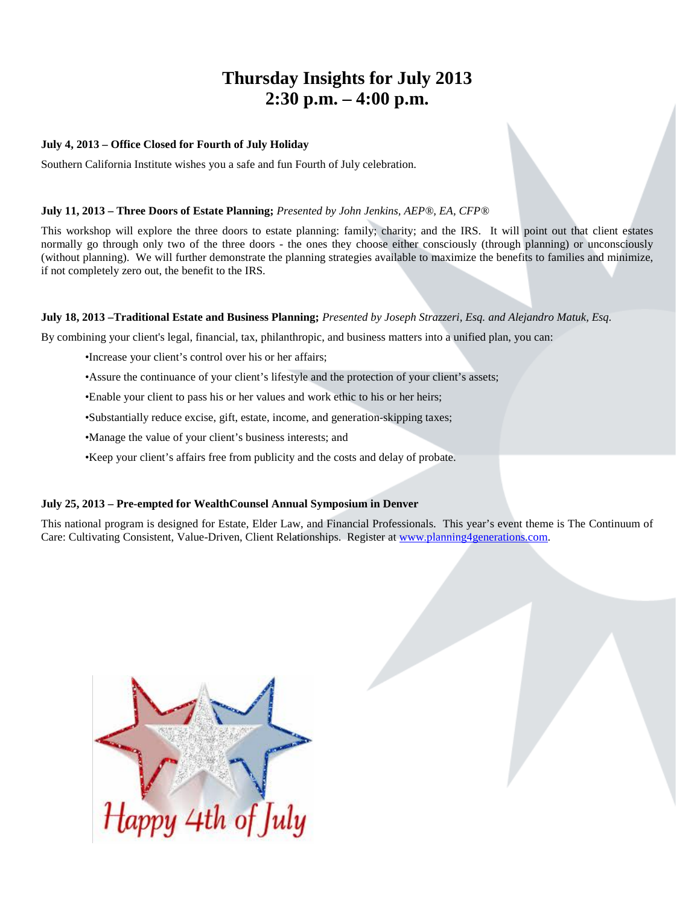## **Thursday Insights for July 2013 2:30 p.m. – 4:00 p.m.**

#### **July 4, 2013 – Office Closed for Fourth of July Holiday**

Southern California Institute wishes you a safe and fun Fourth of July celebration.

#### **July 11, 2013 – Three Doors of Estate Planning;** *Presented by John Jenkins, AEP®, EA, CFP®*

This workshop will explore the three doors to estate planning: family; charity; and the IRS. It will point out that client estates normally go through only two of the three doors - the ones they choose either consciously (through planning) or unconsciously (without planning). We will further demonstrate the planning strategies available to maximize the benefits to families and minimize, if not completely zero out, the benefit to the IRS.

#### **July 18, 2013 –Traditional Estate and Business Planning;** *Presented by Joseph Strazzeri, Esq. and Alejandro Matuk, Esq.*

By combining your client's legal, financial, tax, philanthropic, and business matters into a unified plan, you can:

- •Increase your client's control over his or her affairs;
- •Assure the continuance of your client's lifestyle and the protection of your client's assets;
- •Enable your client to pass his or her values and work ethic to his or her heirs;
- •Substantially reduce excise, gift, estate, income, and generation-skipping taxes;
- •Manage the value of your client's business interests; and
- •Keep your client's affairs free from publicity and the costs and delay of probate.

#### **July 25, 2013 – Pre-empted for WealthCounsel Annual Symposium in Denver**

This national program is designed for Estate, Elder Law, and Financial Professionals. This year's event theme is The Continuum of Care: Cultivating Consistent, Value-Driven, Client Relationships. Register at [www.planning4generations.com.](http://www.planning4generations.com/)

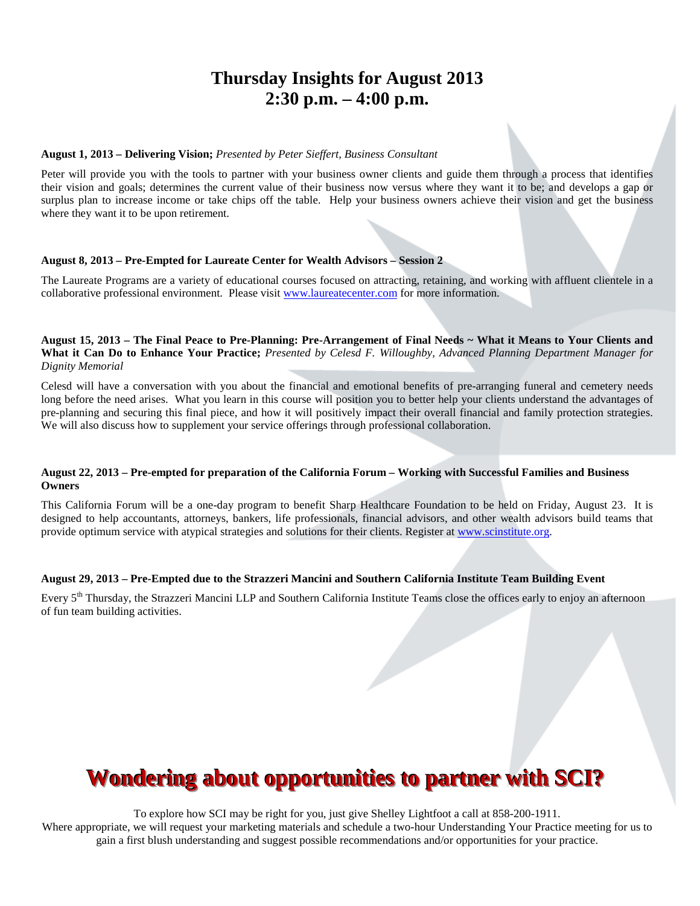## **Thursday Insights for August 2013 2:30 p.m. – 4:00 p.m.**

#### **August 1, 2013 – Delivering Vision;** *Presented by Peter Sieffert, Business Consultant*

Peter will provide you with the tools to partner with your business owner clients and guide them through a process that identifies their vision and goals; determines the current value of their business now versus where they want it to be; and develops a gap or surplus plan to increase income or take chips off the table. Help your business owners achieve their vision and get the business where they want it to be upon retirement.

#### **August 8, 2013 – Pre-Empted for Laureate Center for Wealth Advisors – Session 2**

The Laureate Programs are a variety of educational courses focused on attracting, retaining, and working with affluent clientele in a collaborative professional environment. Please visit [www.laureatecenter.com](http://www.laureatecenter.com/) for more information.

**August 15, 2013 – The Final Peace to Pre-Planning: Pre-Arrangement of Final Needs ~ What it Means to Your Clients and What it Can Do to Enhance Your Practice;** *Presented by Celesd F. Willoughby, Advanced Planning Department Manager for Dignity Memorial*

Celesd will have a conversation with you about the financial and emotional benefits of pre-arranging funeral and cemetery needs long before the need arises. What you learn in this course will position you to better help your clients understand the advantages of pre-planning and securing this final piece, and how it will positively impact their overall financial and family protection strategies. We will also discuss how to supplement your service offerings through professional collaboration.

#### **August 22, 2013 – Pre-empted for preparation of the California Forum – Working with Successful Families and Business Owners**

This California Forum will be a one-day program to benefit Sharp Healthcare Foundation to be held on Friday, August 23. It is designed to help accountants, attorneys, bankers, life professionals, financial advisors, and other wealth advisors build teams that provide optimum service with atypical strategies and solutions for their clients. Register at [www.scinstitute.org.](http://www.scinstitute.org/)

#### **August 29, 2013 – Pre-Empted due to the Strazzeri Mancini and Southern California Institute Team Building Event**

Every 5<sup>th</sup> Thursday, the Strazzeri Mancini LLP and Southern California Institute Teams close the offices early to enjoy an afternoon of fun team building activities.

# **Wondering about opportunities to partner with SCI?**

To explore how SCI may be right for you, just give Shelley Lightfoot a call at 858-200-1911. Where appropriate, we will request your marketing materials and schedule a two-hour Understanding Your Practice meeting for us to gain a first blush understanding and suggest possible recommendations and/or opportunities for your practice.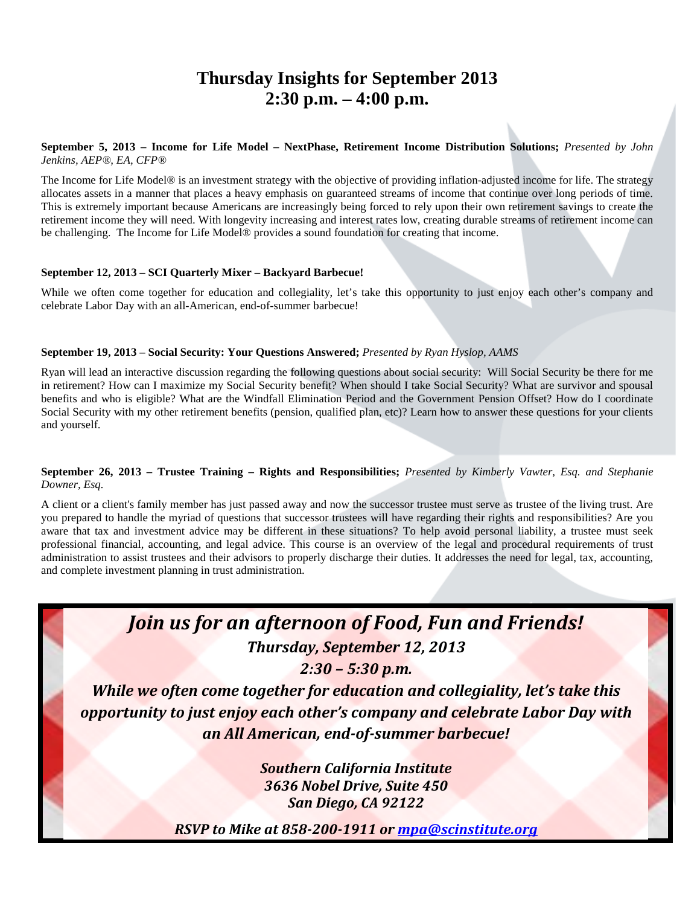## **Thursday Insights for September 2013 2:30 p.m. – 4:00 p.m.**

**September 5, 2013 – Income for Life Model – NextPhase, Retirement Income Distribution Solutions;** *Presented by John Jenkins, AEP®, EA, CFP®*

The Income for Life Model® is an investment strategy with the objective of providing inflation-adjusted income for life. The strategy allocates assets in a manner that places a heavy emphasis on guaranteed streams of income that continue over long periods of time. This is extremely important because Americans are increasingly being forced to rely upon their own retirement savings to create the retirement income they will need. With longevity increasing and interest rates low, creating durable streams of retirement income can be challenging. The Income for Life Model® provides a sound foundation for creating that income.

#### **September 12, 2013 – SCI Quarterly Mixer – Backyard Barbecue!**

While we often come together for education and collegiality, let's take this opportunity to just enjoy each other's company and celebrate Labor Day with an all-American, end-of-summer barbecue!

#### **September 19, 2013 – Social Security: Your Questions Answered;** *Presented by Ryan Hyslop, AAMS*

Ryan will lead an interactive discussion regarding the following questions about social security: Will Social Security be there for me in retirement? How can I maximize my Social Security benefit? When should I take Social Security? What are survivor and spousal benefits and who is eligible? What are the Windfall Elimination Period and the Government Pension Offset? How do I coordinate Social Security with my other retirement benefits (pension, qualified plan, etc)? Learn how to answer these questions for your clients and yourself.

#### **September 26, 2013 – Trustee Training – Rights and Responsibilities;** *Presented by Kimberly Vawter, Esq. and Stephanie Downer, Esq.*

A client or a client's family member has just passed away and now the successor trustee must serve as trustee of the living trust. Are you prepared to handle the myriad of questions that successor trustees will have regarding their rights and responsibilities? Are you aware that tax and investment advice may be different in these situations? To help avoid personal liability, a trustee must seek professional financial, accounting, and legal advice. This course is an overview of the legal and procedural requirements of trust administration to assist trustees and their advisors to properly discharge their duties. It addresses the need for legal, tax, accounting, and complete investment planning in trust administration.



*Thursday, September 12, 2013*

*2:30 – 5:30 p.m.*

*While we often come together for education and collegiality, let's take this opportunity to just enjoy each other's company and celebrate Labor Day with an All American, end-of-summer barbecue!*

> *Southern California Institute 3636 Nobel Drive, Suite 450 San Diego, CA 92122*

*RSVP to Mike at 858-200-1911 or [mpa@scinstitute.org](mailto:mpa@scinstitute.org)*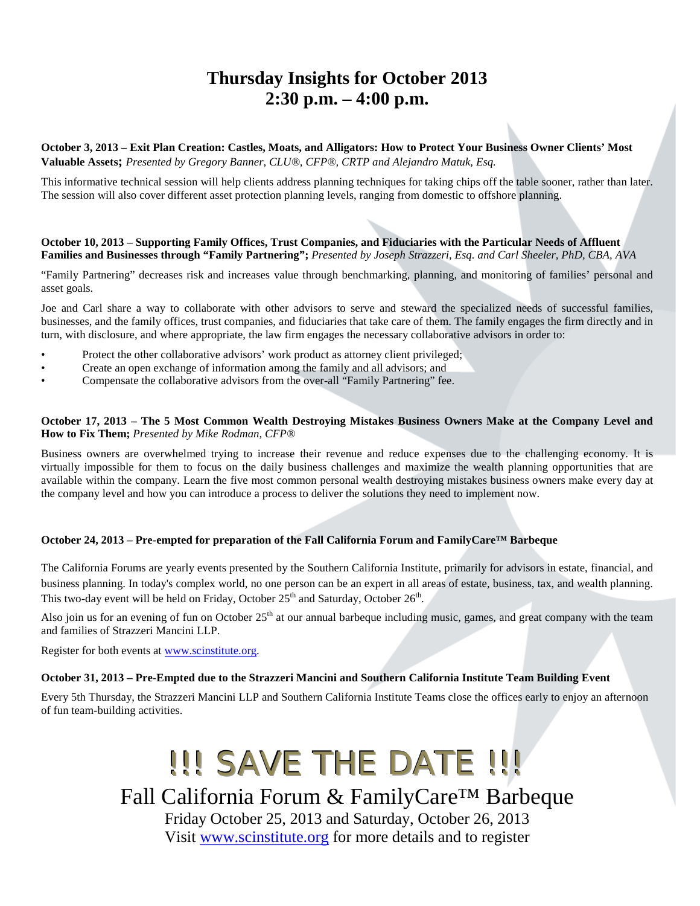## **Thursday Insights for October 2013 2:30 p.m. – 4:00 p.m.**

**October 3, 2013 – Exit Plan Creation: Castles, Moats, and Alligators: How to Protect Your Business Owner Clients' Most Valuable Assets;** *Presented by Gregory Banner, CLU®, CFP®, CRTP and Alejandro Matuk, Esq.* 

This informative technical session will help clients address planning techniques for taking chips off the table sooner, rather than later. The session will also cover different asset protection planning levels, ranging from domestic to offshore planning.

#### **October 10, 2013 – Supporting Family Offices, Trust Companies, and Fiduciaries with the Particular Needs of Affluent Families and Businesses through "Family Partnering";** *Presented by Joseph Strazzeri, Esq. and Carl Sheeler, PhD, CBA, AVA*

"Family Partnering" decreases risk and increases value through benchmarking, planning, and monitoring of families' personal and asset goals.

Joe and Carl share a way to collaborate with other advisors to serve and steward the specialized needs of successful families, businesses, and the family offices, trust companies, and fiduciaries that take care of them. The family engages the firm directly and in turn, with disclosure, and where appropriate, the law firm engages the necessary collaborative advisors in order to:

- Protect the other collaborative advisors' work product as attorney client privileged;
- Create an open exchange of information among the family and all advisors; and
- Compensate the collaborative advisors from the over-all "Family Partnering" fee.

#### **October 17, 2013 – The 5 Most Common Wealth Destroying Mistakes Business Owners Make at the Company Level and How to Fix Them;** *Presented by Mike Rodman, CFP®*

Business owners are overwhelmed trying to increase their revenue and reduce expenses due to the challenging economy. It is virtually impossible for them to focus on the daily business challenges and maximize the wealth planning opportunities that are available within the company. Learn the five most common personal wealth destroying mistakes business owners make every day at the company level and how you can introduce a process to deliver the solutions they need to implement now.

#### **October 24, 2013 – Pre-empted for preparation of the Fall California Forum and FamilyCare™ Barbeque**

The California Forums are yearly events presented by the Southern California Institute, primarily for advisors in estate, financial, and business planning. In today's complex world, no one person can be an expert in all areas of estate, business, tax, and wealth planning. This two-day event will be held on Friday, October  $25<sup>th</sup>$  and Saturday, October  $26<sup>th</sup>$ .

Also join us for an evening of fun on October  $25<sup>th</sup>$  at our annual barbeque including music, games, and great company with the team and families of Strazzeri Mancini LLP.

Register for both events at [www.scinstitute.org.](http://www.scinstitute.org/)

#### **October 31, 2013 – Pre-Empted due to the Strazzeri Mancini and Southern California Institute Team Building Event**

Every 5th Thursday, the Strazzeri Mancini LLP and Southern California Institute Teams close the offices early to enjoy an afternoon of fun team-building activities.

# !!! SAVE THE DATE !!! Fall California Forum & FamilyCare™ Barbeque Friday October 25, 2013 and Saturday, October 26, 2013 Visit [www.scinstitute.org](http://www.scinstitute.org/) for more details and to register